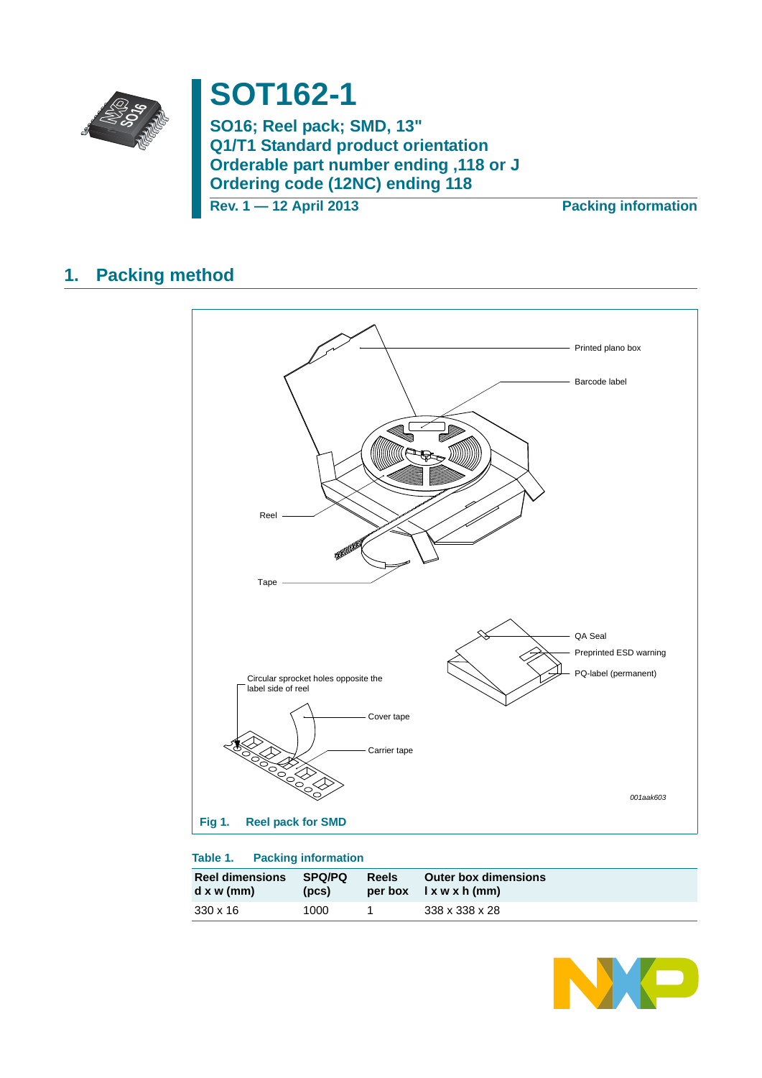

# **SOT162-1**

**SO16; Reel pack; SMD, 13" Q1/T1 Standard product orientation Orderable part number ending ,118 or J Ordering code (12NC) ending 118** 

**Rev. 1 — 12 April 2013 Packing information**

### **1. Packing method**



### **Table 1. Packing information**

| <b>Reel dimensions</b> | <b>SPQ/PQ</b> | Reels | <b>Outer box dimensions</b> |
|------------------------|---------------|-------|-----------------------------|
| $d \times w$ (mm)      | (pcs)         |       | $per box$ $l x w x h (mm)$  |
| 330 x 16               | 1000          |       | 338 x 338 x 28              |

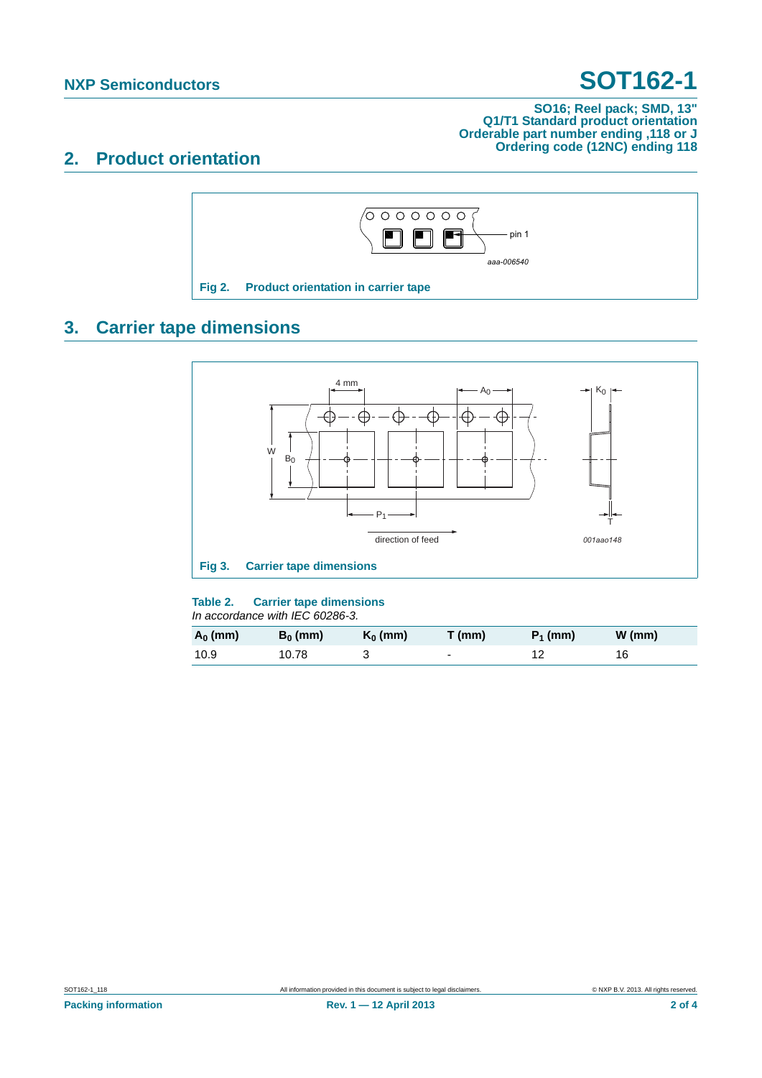# **NXP Semiconductors SOT162-1**

### **SO16; Reel pack; SMD, 13" Q1/T1 Standard product orientation Orderable part number ending ,118 or J Ordering code (12NC) ending 118**

### **2. Product orientation**



## **3. Carrier tape dimensions**



### **Table 2. Carrier tape dimensions**

*In accordance with IEC 60286-3.*

| $A_0$ (mm) | $B_0$ (mm) | $K_0$ (mm) | T (mm) | $P_1$ (mm) | $W$ (mm) |
|------------|------------|------------|--------|------------|----------|
| 10.9       | 10.78      |            | ۰      |            | 16       |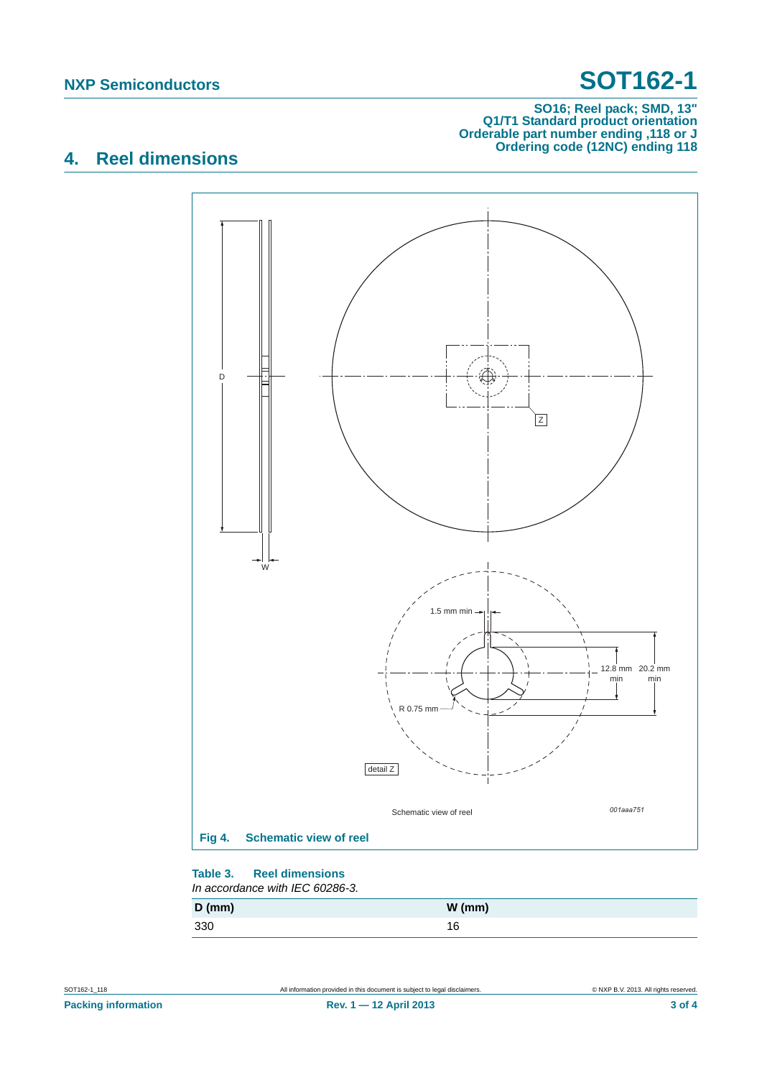# **NXP Semiconductors SOT162-1**

#### **SO16; Reel pack; SMD, 13" Q1/T1 Standard product orientation Orderable part number ending ,118 or J Ordering code (12NC) ending 118**

## **4. Reel dimensions**



#### **Table 3. Reel dimensions** *In accordance with IEC 60286-3.*

| $D$ (mm) | $W$ (mm) |
|----------|----------|
| 330      | 16       |